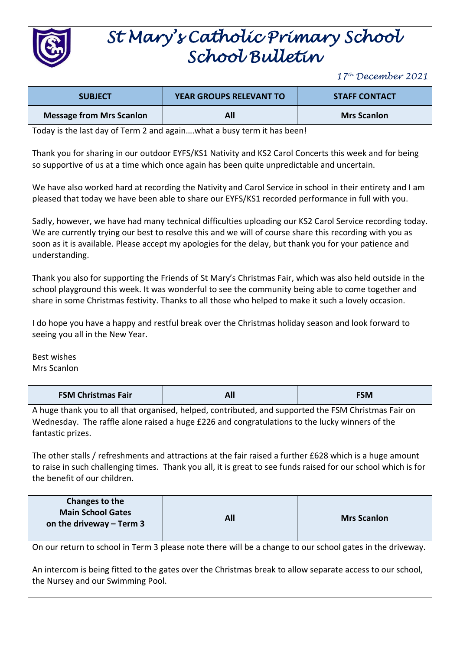

## *St Mary's Catholic Primary School School Bulletin*

*17 th December 2021*

| <b>SUBJECT</b>                                                                                                                                                                                                                                                                                                                                  | YEAR GROUPS RELEVANT TO                                                                                                                                                                             | <b>STAFF CONTACT</b> |  |
|-------------------------------------------------------------------------------------------------------------------------------------------------------------------------------------------------------------------------------------------------------------------------------------------------------------------------------------------------|-----------------------------------------------------------------------------------------------------------------------------------------------------------------------------------------------------|----------------------|--|
| <b>Message from Mrs Scanlon</b>                                                                                                                                                                                                                                                                                                                 | All                                                                                                                                                                                                 | <b>Mrs Scanlon</b>   |  |
|                                                                                                                                                                                                                                                                                                                                                 | Today is the last day of Term 2 and againwhat a busy term it has been!                                                                                                                              |                      |  |
|                                                                                                                                                                                                                                                                                                                                                 | Thank you for sharing in our outdoor EYFS/KS1 Nativity and KS2 Carol Concerts this week and for being<br>so supportive of us at a time which once again has been quite unpredictable and uncertain. |                      |  |
| We have also worked hard at recording the Nativity and Carol Service in school in their entirety and I am<br>pleased that today we have been able to share our EYFS/KS1 recorded performance in full with you.                                                                                                                                  |                                                                                                                                                                                                     |                      |  |
| Sadly, however, we have had many technical difficulties uploading our KS2 Carol Service recording today.<br>We are currently trying our best to resolve this and we will of course share this recording with you as<br>soon as it is available. Please accept my apologies for the delay, but thank you for your patience and<br>understanding. |                                                                                                                                                                                                     |                      |  |
| Thank you also for supporting the Friends of St Mary's Christmas Fair, which was also held outside in the<br>school playground this week. It was wonderful to see the community being able to come together and<br>share in some Christmas festivity. Thanks to all those who helped to make it such a lovely occasion.                         |                                                                                                                                                                                                     |                      |  |
| I do hope you have a happy and restful break over the Christmas holiday season and look forward to<br>seeing you all in the New Year.                                                                                                                                                                                                           |                                                                                                                                                                                                     |                      |  |
| Best wishes<br>Mrs Scanlon                                                                                                                                                                                                                                                                                                                      |                                                                                                                                                                                                     |                      |  |
| <b>FSM Christmas Fair</b>                                                                                                                                                                                                                                                                                                                       | <b>All</b>                                                                                                                                                                                          | <b>FSM</b>           |  |
| A huge thank you to all that organised, helped, contributed, and supported the FSM Christmas Fair on<br>Wednesday. The raffle alone raised a huge £226 and congratulations to the lucky winners of the<br>fantastic prizes.                                                                                                                     |                                                                                                                                                                                                     |                      |  |
| The other stalls / refreshments and attractions at the fair raised a further £628 which is a huge amount<br>to raise in such challenging times. Thank you all, it is great to see funds raised for our school which is for<br>the benefit of our children.                                                                                      |                                                                                                                                                                                                     |                      |  |
| Changes to the<br><b>Main School Gates</b><br>on the driveway $-$ Term 3                                                                                                                                                                                                                                                                        | All                                                                                                                                                                                                 | <b>Mrs Scanlon</b>   |  |
|                                                                                                                                                                                                                                                                                                                                                 | On our return to school in Term 3 please note there will be a change to our school gates in the driveway.                                                                                           |                      |  |
| An intercom is being fitted to the gates over the Christmas break to allow separate access to our school,<br>the Nursey and our Swimming Pool.                                                                                                                                                                                                  |                                                                                                                                                                                                     |                      |  |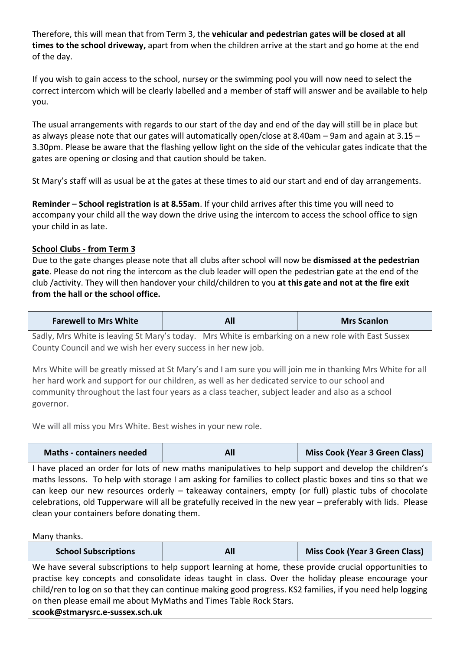Therefore, this will mean that from Term 3, the **vehicular and pedestrian gates will be closed at all times to the school driveway,** apart from when the children arrive at the start and go home at the end of the day.

If you wish to gain access to the school, nursey or the swimming pool you will now need to select the correct intercom which will be clearly labelled and a member of staff will answer and be available to help you.

The usual arrangements with regards to our start of the day and end of the day will still be in place but as always please note that our gates will automatically open/close at 8.40am – 9am and again at 3.15 – 3.30pm. Please be aware that the flashing yellow light on the side of the vehicular gates indicate that the gates are opening or closing and that caution should be taken.

St Mary's staff will as usual be at the gates at these times to aid our start and end of day arrangements.

**Reminder – School registration is at 8.55am**. If your child arrives after this time you will need to accompany your child all the way down the drive using the intercom to access the school office to sign your child in as late.

## **School Clubs - from Term 3**

Due to the gate changes please note that all clubs after school will now be **dismissed at the pedestrian gate**. Please do not ring the intercom as the club leader will open the pedestrian gate at the end of the club /activity. They will then handover your child/children to you **at this gate and not at the fire exit from the hall or the school office.**

| <b>Farewell to Mrs White</b> | All | <b>Mrs Scanlon</b> |
|------------------------------|-----|--------------------|
|------------------------------|-----|--------------------|

Sadly, Mrs White is leaving St Mary's today. Mrs White is embarking on a new role with East Sussex County Council and we wish her every success in her new job.

Mrs White will be greatly missed at St Mary's and I am sure you will join me in thanking Mrs White for all her hard work and support for our children, as well as her dedicated service to our school and community throughout the last four years as a class teacher, subject leader and also as a school governor.

We will all miss you Mrs White. Best wishes in your new role.

| <b>Maths - containers needed</b> |  | Miss Cook (Year 3 Green Class) |
|----------------------------------|--|--------------------------------|
|----------------------------------|--|--------------------------------|

I have placed an order for lots of new maths manipulatives to help support and develop the children's maths lessons. To help with storage I am asking for families to collect plastic boxes and tins so that we can keep our new resources orderly – takeaway containers, empty (or full) plastic tubs of chocolate celebrations, old Tupperware will all be gratefully received in the new year – preferably with lids. Please clean your containers before donating them.

Many thanks.

| <b>School Subscriptions</b> | All | <b>Miss Cook (Year 3 Green Class)</b> |
|-----------------------------|-----|---------------------------------------|
|-----------------------------|-----|---------------------------------------|

We have several subscriptions to help support learning at home, these provide crucial opportunities to practise key concepts and consolidate ideas taught in class. Over the holiday please encourage your child/ren to log on so that they can continue making good progress. KS2 families, if you need help logging on then please email me about MyMaths and Times Table Rock Stars.

**scook@stmarysrc.e-sussex.sch.uk**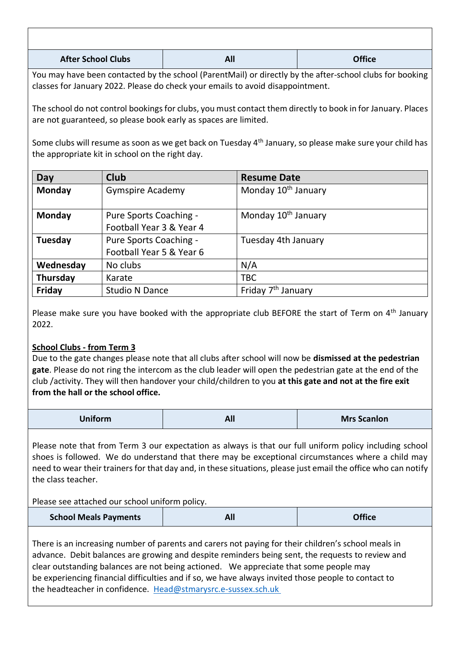| <b>After School Clubs</b> | All | <b>Office</b> |
|---------------------------|-----|---------------|

You may have been contacted by the school (ParentMail) or directly by the after-school clubs for booking classes for January 2022. Please do check your emails to avoid disappointment.

The school do not control bookings for clubs, you must contact them directly to book in for January. Places are not guaranteed, so please book early as spaces are limited.

Some clubs will resume as soon as we get back on Tuesday 4<sup>th</sup> January, so please make sure your child has the appropriate kit in school on the right day.

| Day       | <b>Club</b>              | <b>Resume Date</b>              |
|-----------|--------------------------|---------------------------------|
| Monday    | <b>Gymspire Academy</b>  | Monday 10 <sup>th</sup> January |
|           |                          |                                 |
| Monday    | Pure Sports Coaching -   | Monday 10 <sup>th</sup> January |
|           | Football Year 3 & Year 4 |                                 |
| Tuesday   | Pure Sports Coaching -   | Tuesday 4th January             |
|           | Football Year 5 & Year 6 |                                 |
| Wednesday | No clubs                 | N/A                             |
| Thursday  | Karate                   | <b>TBC</b>                      |
| Friday    | <b>Studio N Dance</b>    | Friday 7 <sup>th</sup> January  |

Please make sure you have booked with the appropriate club BEFORE the start of Term on 4<sup>th</sup> January 2022.

## **School Clubs - from Term 3**

Due to the gate changes please note that all clubs after school will now be **dismissed at the pedestrian gate**. Please do not ring the intercom as the club leader will open the pedestrian gate at the end of the club /activity. They will then handover your child/children to you **at this gate and not at the fire exit from the hall or the school office.**

| <b>Uniform</b> | All | <b>Mrs Scanlon</b> |
|----------------|-----|--------------------|
|----------------|-----|--------------------|

Please note that from Term 3 our expectation as always is that our full uniform policy including school shoes is followed. We do understand that there may be exceptional circumstances where a child may need to wear their trainers for that day and, in these situations, please just email the office who can notify the class teacher.

## Please see attached our school uniform policy.

| <b>School Meals Payments</b> |  | <b>Office</b> |
|------------------------------|--|---------------|
|------------------------------|--|---------------|

There is an increasing number of parents and carers not paying for their children's school meals in advance. Debit balances are growing and despite reminders being sent, the requests to review and clear outstanding balances are not being actioned. We appreciate that some people may be experiencing financial difficulties and if so, we have always invited those people to contact to the headteacher in confidence. [Head@stmarysrc.e-sussex.sch.uk](mailto:confidence. Head@stmarysrc.e-sussex.sch.uk   )